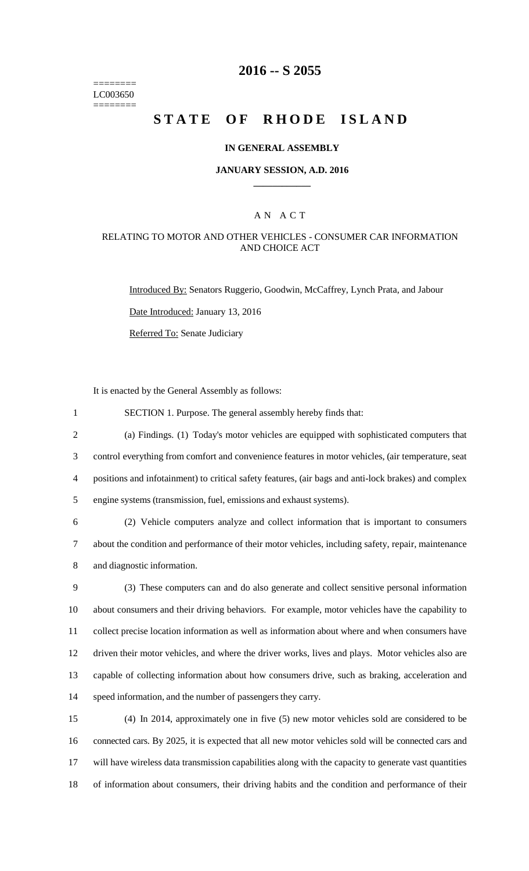======== LC003650  $=$ 

## **2016 -- S 2055**

# **STATE OF RHODE ISLAND**

### **IN GENERAL ASSEMBLY**

### **JANUARY SESSION, A.D. 2016 \_\_\_\_\_\_\_\_\_\_\_\_**

### A N A C T

### RELATING TO MOTOR AND OTHER VEHICLES - CONSUMER CAR INFORMATION AND CHOICE ACT

Introduced By: Senators Ruggerio, Goodwin, McCaffrey, Lynch Prata, and Jabour

Date Introduced: January 13, 2016

Referred To: Senate Judiciary

It is enacted by the General Assembly as follows:

| $\mathbf{1}$   | SECTION 1. Purpose. The general assembly hereby finds that:                                           |
|----------------|-------------------------------------------------------------------------------------------------------|
| $\overline{2}$ | (a) Findings. (1) Today's motor vehicles are equipped with sophisticated computers that               |
| 3              | control everything from comfort and convenience features in motor vehicles, (air temperature, seat    |
| 4              | positions and infotainment) to critical safety features, (air bags and anti-lock brakes) and complex  |
| 5              | engine systems (transmission, fuel, emissions and exhaust systems).                                   |
| 6              | (2) Vehicle computers analyze and collect information that is important to consumers                  |
| $\tau$         | about the condition and performance of their motor vehicles, including safety, repair, maintenance    |
| 8              | and diagnostic information.                                                                           |
| 9              | (3) These computers can and do also generate and collect sensitive personal information               |
| 10             | about consumers and their driving behaviors. For example, motor vehicles have the capability to       |
| 11             | collect precise location information as well as information about where and when consumers have       |
| 12             | driven their motor vehicles, and where the driver works, lives and plays. Motor vehicles also are     |
| 13             | capable of collecting information about how consumers drive, such as braking, acceleration and        |
| 14             | speed information, and the number of passengers they carry.                                           |
| 15             | (4) In 2014, approximately one in five (5) new motor vehicles sold are considered to be               |
| 16             | connected cars. By 2025, it is expected that all new motor vehicles sold will be connected cars and   |
| 17             | will have wireless data transmission capabilities along with the capacity to generate vast quantities |

18 of information about consumers, their driving habits and the condition and performance of their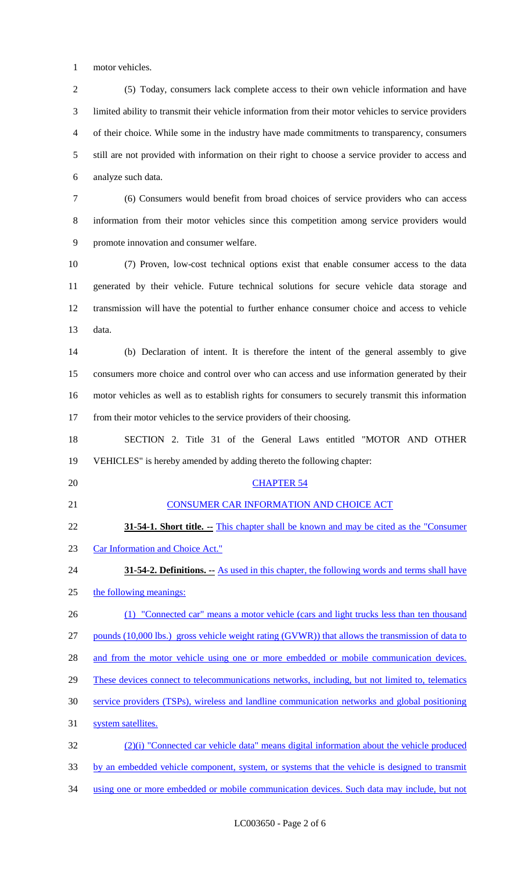motor vehicles.

 (5) Today, consumers lack complete access to their own vehicle information and have limited ability to transmit their vehicle information from their motor vehicles to service providers of their choice. While some in the industry have made commitments to transparency, consumers still are not provided with information on their right to choose a service provider to access and analyze such data.

 (6) Consumers would benefit from broad choices of service providers who can access information from their motor vehicles since this competition among service providers would promote innovation and consumer welfare.

 (7) Proven, low-cost technical options exist that enable consumer access to the data generated by their vehicle. Future technical solutions for secure vehicle data storage and transmission will have the potential to further enhance consumer choice and access to vehicle data.

 (b) Declaration of intent. It is therefore the intent of the general assembly to give consumers more choice and control over who can access and use information generated by their motor vehicles as well as to establish rights for consumers to securely transmit this information from their motor vehicles to the service providers of their choosing.

 SECTION 2. Title 31 of the General Laws entitled "MOTOR AND OTHER VEHICLES" is hereby amended by adding thereto the following chapter:

# 20 CHAPTER 54

- 21 CONSUMER CAR INFORMATION AND CHOICE ACT
- **31-54-1. Short title.** -- This chapter shall be known and may be cited as the "Consumer" Car Information and Choice Act."
- **31-54-2. Definitions. --** As used in this chapter, the following words and terms shall have
- 25 the following meanings:
- 26 (1) "Connected car" means a motor vehicle (cars and light trucks less than ten thousand

27 pounds (10,000 lbs.) gross vehicle weight rating (GVWR)) that allows the transmission of data to

28 and from the motor vehicle using one or more embedded or mobile communication devices.

29 These devices connect to telecommunications networks, including, but not limited to, telematics

service providers (TSPs), wireless and landline communication networks and global positioning

31 system satellites.

 (2)(i) "Connected car vehicle data" means digital information about the vehicle produced by an embedded vehicle component, system, or systems that the vehicle is designed to transmit using one or more embedded or mobile communication devices. Such data may include, but not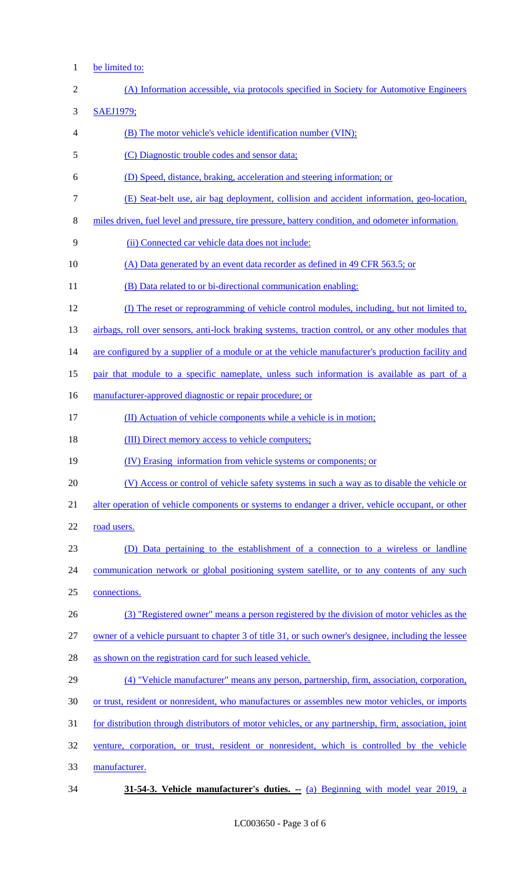1 be limited to:

| $\overline{c}$ | (A) Information accessible, via protocols specified in Society for Automotive Engineers               |
|----------------|-------------------------------------------------------------------------------------------------------|
| 3              | <b>SAEJ1979;</b>                                                                                      |
| 4              | (B) The motor vehicle's vehicle identification number (VIN);                                          |
| 5              | (C) Diagnostic trouble codes and sensor data;                                                         |
| 6              | (D) Speed, distance, braking, acceleration and steering information; or                               |
| 7              | (E) Seat-belt use, air bag deployment, collision and accident information, geo-location,              |
| 8              | miles driven, fuel level and pressure, tire pressure, battery condition, and odometer information.    |
| 9              | (ii) Connected car vehicle data does not include:                                                     |
| 10             | (A) Data generated by an event data recorder as defined in 49 CFR 563.5; or                           |
| 11             | (B) Data related to or bi-directional communication enabling:                                         |
| 12             | (I) The reset or reprogramming of vehicle control modules, including, but not limited to,             |
| 13             | airbags, roll over sensors, anti-lock braking systems, traction control, or any other modules that    |
| 14             | are configured by a supplier of a module or at the vehicle manufacturer's production facility and     |
| 15             | pair that module to a specific nameplate, unless such information is available as part of a           |
| 16             | manufacturer-approved diagnostic or repair procedure; or                                              |
| 17             | (II) Actuation of vehicle components while a vehicle is in motion;                                    |
| 18             | (III) Direct memory access to vehicle computers;                                                      |
| 19             | (IV) Erasing information from vehicle systems or components; or                                       |
| 20             | (V) Access or control of vehicle safety systems in such a way as to disable the vehicle or            |
| 21             | alter operation of vehicle components or systems to endanger a driver, vehicle occupant, or other     |
| 22             | road users.                                                                                           |
| 23             | (D) Data pertaining to the establishment of a connection to a wireless or landline                    |
| 24             | communication network or global positioning system satellite, or to any contents of any such          |
| 25             | connections.                                                                                          |
| 26             | (3) "Registered owner" means a person registered by the division of motor vehicles as the             |
| 27             | owner of a vehicle pursuant to chapter 3 of title 31, or such owner's designee, including the lessee  |
| 28             | as shown on the registration card for such leased vehicle.                                            |
| 29             | (4) "Vehicle manufacturer" means any person, partnership, firm, association, corporation,             |
| 30             |                                                                                                       |
|                | or trust, resident or nonresident, who manufactures or assembles new motor vehicles, or imports       |
| 31             | for distribution through distributors of motor vehicles, or any partnership, firm, association, joint |
| 32             | venture, corporation, or trust, resident or nonresident, which is controlled by the vehicle           |
| 33             | manufacturer.                                                                                         |

34 **31-54-3. Vehicle manufacturer's duties. --** (a) Beginning with model year 2019, a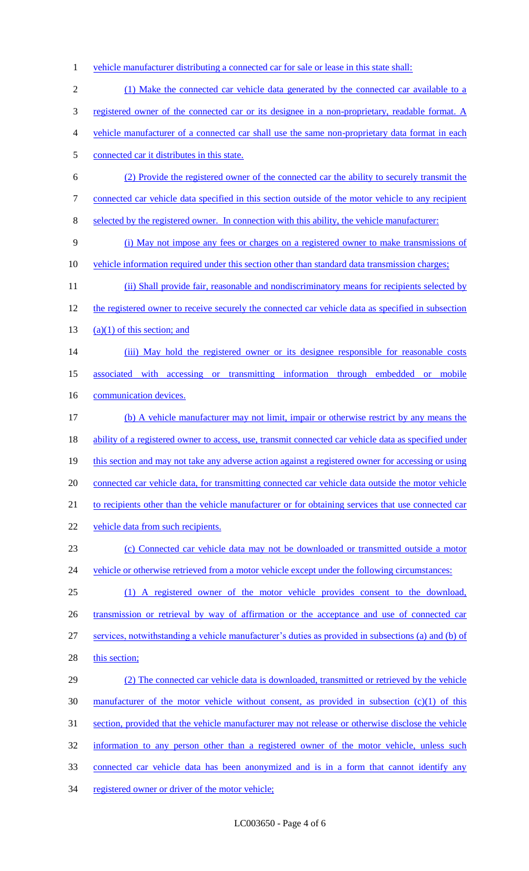1 vehicle manufacturer distributing a connected car for sale or lease in this state shall: 2 (1) Make the connected car vehicle data generated by the connected car available to a 3 registered owner of the connected car or its designee in a non-proprietary, readable format. A 4 vehicle manufacturer of a connected car shall use the same non-proprietary data format in each 5 connected car it distributes in this state. 6 (2) Provide the registered owner of the connected car the ability to securely transmit the 7 connected car vehicle data specified in this section outside of the motor vehicle to any recipient 8 selected by the registered owner. In connection with this ability, the vehicle manufacturer: 9 (i) May not impose any fees or charges on a registered owner to make transmissions of 10 vehicle information required under this section other than standard data transmission charges; 11 (ii) Shall provide fair, reasonable and nondiscriminatory means for recipients selected by 12 the registered owner to receive securely the connected car vehicle data as specified in subsection 13  $(a)(1)$  of this section; and 14 (iii) May hold the registered owner or its designee responsible for reasonable costs 15 associated with accessing or transmitting information through embedded or mobile 16 communication devices. 17 (b) A vehicle manufacturer may not limit, impair or otherwise restrict by any means the 18 ability of a registered owner to access, use, transmit connected car vehicle data as specified under 19 this section and may not take any adverse action against a registered owner for accessing or using 20 connected car vehicle data, for transmitting connected car vehicle data outside the motor vehicle 21 to recipients other than the vehicle manufacturer or for obtaining services that use connected car 22 vehicle data from such recipients. 23 (c) Connected car vehicle data may not be downloaded or transmitted outside a motor 24 vehicle or otherwise retrieved from a motor vehicle except under the following circumstances: 25 (1) A registered owner of the motor vehicle provides consent to the download, 26 transmission or retrieval by way of affirmation or the acceptance and use of connected car 27 services, notwithstanding a vehicle manufacturer's duties as provided in subsections (a) and (b) of 28 this section; 29 (2) The connected car vehicle data is downloaded, transmitted or retrieved by the vehicle 30 manufacturer of the motor vehicle without consent, as provided in subsection  $(c)(1)$  of this 31 section, provided that the vehicle manufacturer may not release or otherwise disclose the vehicle 32 information to any person other than a registered owner of the motor vehicle, unless such 33 connected car vehicle data has been anonymized and is in a form that cannot identify any 34 registered owner or driver of the motor vehicle;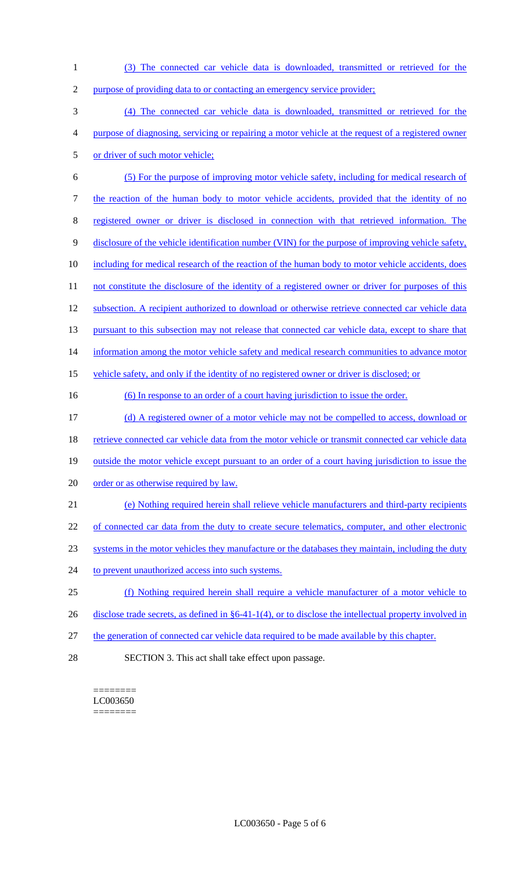- 1 (3) The connected car vehicle data is downloaded, transmitted or retrieved for the 2 purpose of providing data to or contacting an emergency service provider; 3 (4) The connected car vehicle data is downloaded, transmitted or retrieved for the 4 purpose of diagnosing, servicing or repairing a motor vehicle at the request of a registered owner 5 or driver of such motor vehicle; 6 (5) For the purpose of improving motor vehicle safety, including for medical research of 7 the reaction of the human body to motor vehicle accidents, provided that the identity of no 8 registered owner or driver is disclosed in connection with that retrieved information. The 9 disclosure of the vehicle identification number (VIN) for the purpose of improving vehicle safety, 10 including for medical research of the reaction of the human body to motor vehicle accidents, does 11 not constitute the disclosure of the identity of a registered owner or driver for purposes of this 12 subsection. A recipient authorized to download or otherwise retrieve connected car vehicle data 13 pursuant to this subsection may not release that connected car vehicle data, except to share that 14 information among the motor vehicle safety and medical research communities to advance motor 15 vehicle safety, and only if the identity of no registered owner or driver is disclosed; or 16 (6) In response to an order of a court having jurisdiction to issue the order. 17 (d) A registered owner of a motor vehicle may not be compelled to access, download or 18 retrieve connected car vehicle data from the motor vehicle or transmit connected car vehicle data 19 outside the motor vehicle except pursuant to an order of a court having jurisdiction to issue the 20 order or as otherwise required by law. 21 (e) Nothing required herein shall relieve vehicle manufacturers and third-party recipients 22 of connected car data from the duty to create secure telematics, computer, and other electronic 23 systems in the motor vehicles they manufacture or the databases they maintain, including the duty 24 to prevent unauthorized access into such systems. 25 (f) Nothing required herein shall require a vehicle manufacturer of a motor vehicle to 26 disclose trade secrets, as defined in §6-41-1(4), or to disclose the intellectual property involved in 27 the generation of connected car vehicle data required to be made available by this chapter.
- 28 SECTION 3. This act shall take effect upon passage.

======== LC003650 ========